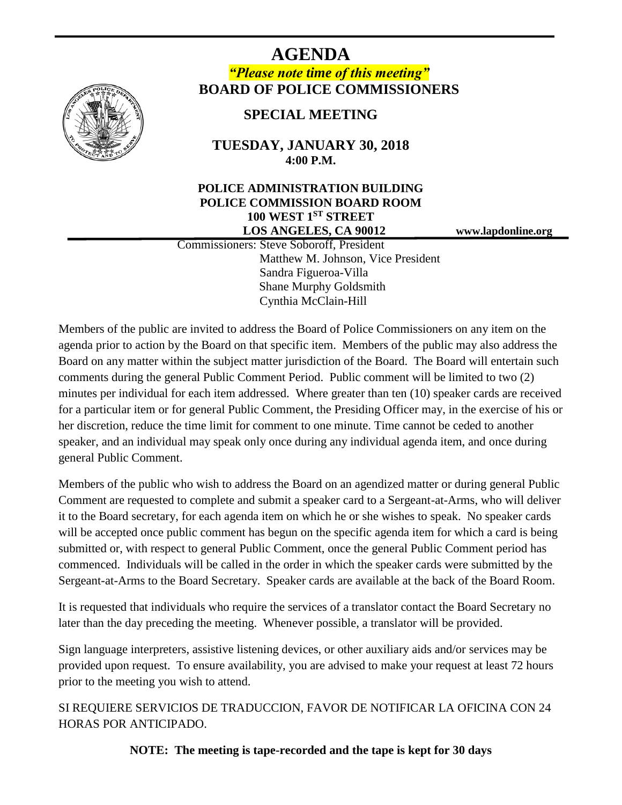

# **AGENDA** *"Please note time of this meeting"* **BOARD OF POLICE COMMISSIONERS**

# **SPECIAL MEETING**

### **TUESDAY, JANUARY 30, 2018 4:00 P.M.**

#### **POLICE ADMINISTRATION BUILDING POLICE COMMISSION BOARD ROOM 100 WEST 1ST STREET LOS ANGELES, CA 90012 www.lapdonline.org**

 Commissioners: Steve Soboroff, President Matthew M. Johnson, Vice President Sandra Figueroa-Villa Shane Murphy Goldsmith Cynthia McClain-Hill

Members of the public are invited to address the Board of Police Commissioners on any item on the agenda prior to action by the Board on that specific item. Members of the public may also address the Board on any matter within the subject matter jurisdiction of the Board. The Board will entertain such comments during the general Public Comment Period. Public comment will be limited to two (2) minutes per individual for each item addressed. Where greater than ten (10) speaker cards are received for a particular item or for general Public Comment, the Presiding Officer may, in the exercise of his or her discretion, reduce the time limit for comment to one minute. Time cannot be ceded to another speaker, and an individual may speak only once during any individual agenda item, and once during general Public Comment.

Members of the public who wish to address the Board on an agendized matter or during general Public Comment are requested to complete and submit a speaker card to a Sergeant-at-Arms, who will deliver it to the Board secretary, for each agenda item on which he or she wishes to speak. No speaker cards will be accepted once public comment has begun on the specific agenda item for which a card is being submitted or, with respect to general Public Comment, once the general Public Comment period has commenced. Individuals will be called in the order in which the speaker cards were submitted by the Sergeant-at-Arms to the Board Secretary. Speaker cards are available at the back of the Board Room.

It is requested that individuals who require the services of a translator contact the Board Secretary no later than the day preceding the meeting. Whenever possible, a translator will be provided.

Sign language interpreters, assistive listening devices, or other auxiliary aids and/or services may be provided upon request. To ensure availability, you are advised to make your request at least 72 hours prior to the meeting you wish to attend.

SI REQUIERE SERVICIOS DE TRADUCCION, FAVOR DE NOTIFICAR LA OFICINA CON 24 HORAS POR ANTICIPADO.

**NOTE: The meeting is tape-recorded and the tape is kept for 30 days**